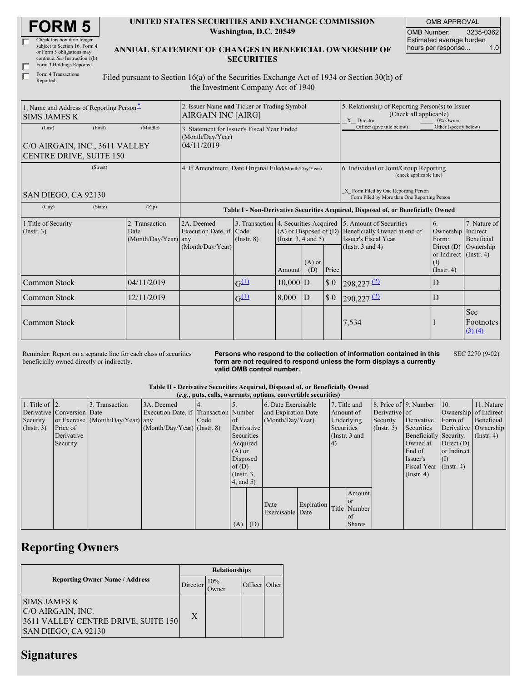| Check this box if no longer     |
|---------------------------------|
| subject to Section 16. Form 4   |
| or Form 5 obligations may       |
| continue. See Instruction 1(b). |
| Form 3 Holdings Reported        |

Form 4 Transactions Reported

Г

#### **UNITED STATES SECURITIES AND EXCHANGE COMMISSION Washington, D.C. 20549**

OMB APPROVAL OMB Number: 3235-0362 Estimated average burden hours per response... 1.0

**ANNUAL STATEMENT OF CHANGES IN BENEFICIAL OWNERSHIP OF SECURITIES**

Filed pursuant to Section 16(a) of the Securities Exchange Act of 1934 or Section 30(h) of the Investment Company Act of 1940

| 1. Name and Address of Reporting Person-<br><b>SIMS JAMES K</b> | 2. Issuer Name and Ticker or Trading Symbol<br>AIRGAIN INC [AIRG] |                                                                                  |                 |                                                                                             |                                                                   | 5. Relationship of Reporting Person(s) to Issuer<br>(Check all applicable)<br>10% Owner<br>X Director |                                                                                  |                                                                   |                                                  |
|-----------------------------------------------------------------|-------------------------------------------------------------------|----------------------------------------------------------------------------------|-----------------|---------------------------------------------------------------------------------------------|-------------------------------------------------------------------|-------------------------------------------------------------------------------------------------------|----------------------------------------------------------------------------------|-------------------------------------------------------------------|--------------------------------------------------|
| (First)<br>(Last)                                               | (Middle)                                                          | 3. Statement for Issuer's Fiscal Year Ended<br>(Month/Day/Year)                  |                 |                                                                                             |                                                                   |                                                                                                       | Officer (give title below)                                                       | Other (specify below)                                             |                                                  |
| C/O AIRGAIN, INC., 3611 VALLEY                                  | 04/11/2019                                                        |                                                                                  |                 |                                                                                             |                                                                   |                                                                                                       |                                                                                  |                                                                   |                                                  |
| CENTRE DRIVE, SUITE 150                                         |                                                                   |                                                                                  |                 |                                                                                             |                                                                   |                                                                                                       |                                                                                  |                                                                   |                                                  |
| (Street)                                                        | 4. If Amendment, Date Original Filed(Month/Day/Year)              |                                                                                  |                 |                                                                                             | 6. Individual or Joint/Group Reporting<br>(check applicable line) |                                                                                                       |                                                                                  |                                                                   |                                                  |
| SAN DIEGO, CA 92130                                             |                                                                   |                                                                                  |                 |                                                                                             |                                                                   | X Form Filed by One Reporting Person<br>Form Filed by More than One Reporting Person                  |                                                                                  |                                                                   |                                                  |
| (City)<br>(State)                                               | (Zip)                                                             | Table I - Non-Derivative Securities Acquired, Disposed of, or Beneficially Owned |                 |                                                                                             |                                                                   |                                                                                                       |                                                                                  |                                                                   |                                                  |
| 1. Title of Security<br>(Insert. 3)                             | 2. Transaction<br>Date<br>(Month/Day/Year) any                    | 2A. Deemed<br>Execution Date, if Code                                            | $($ Instr. $8)$ | 3. Transaction 4. Securities Acquired<br>$(A)$ or Disposed of $(D)$<br>(Insert. 3, 4 and 5) |                                                                   |                                                                                                       | 15. Amount of Securities<br>Beneficially Owned at end of<br>Issuer's Fiscal Year | 6.<br>Form:                                                       | 7. Nature of<br>Ownership Indirect<br>Beneficial |
|                                                                 |                                                                   | (Month/Day/Year)                                                                 |                 | Amount                                                                                      | $(A)$ or<br>(D)                                                   | Price                                                                                                 | (Instr. $3$ and $4$ )                                                            | Direct $(D)$<br>or Indirect (Instr. 4)<br>(I)<br>$($ Instr. 4 $)$ | Ownership                                        |
| Common Stock                                                    | 04/11/2019                                                        |                                                                                  | $G^{(1)}$       | $10,000$ D                                                                                  |                                                                   | \$0                                                                                                   | $298,227$ <sup>(2)</sup>                                                         | D                                                                 |                                                  |
| Common Stock                                                    | 12/11/2019                                                        |                                                                                  | $G^{(1)}$       | 8,000                                                                                       | D                                                                 | $\$$ 0                                                                                                | $290,227$ <sup>(2)</sup>                                                         | D                                                                 |                                                  |
| Common Stock                                                    |                                                                   |                                                                                  |                 |                                                                                             |                                                                   |                                                                                                       | 7,534                                                                            |                                                                   | <b>See</b><br>Footnotes<br>$(3)$ $(4)$           |

Reminder: Report on a separate line for each class of securities beneficially owned directly or indirectly.

**Persons who respond to the collection of information contained in this form are not required to respond unless the form displays a currently valid OMB control number.** SEC 2270 (9-02)

#### **Table II - Derivative Securities Acquired, Disposed of, or Beneficially Owned (***e.g.***, puts, calls, warrants, options, convertible securities)**

| $(0.5)$ , puts, cans, warrants, options, convertible securities |                            |                                  |                                       |      |               |  |                          |            |            |                                                          |               |                        |                       |               |
|-----------------------------------------------------------------|----------------------------|----------------------------------|---------------------------------------|------|---------------|--|--------------------------|------------|------------|----------------------------------------------------------|---------------|------------------------|-----------------------|---------------|
| 1. Title of $ 2$ .                                              |                            | 3. Transaction                   | 3A. Deemed                            |      |               |  | 6. Date Exercisable      |            |            | 7. Title and                                             |               | 8. Price of 9. Number  | 10.                   | 11. Nature    |
|                                                                 | Derivative Conversion Date |                                  | Execution Date, if Transaction Number |      |               |  | and Expiration Date      |            | Amount of  |                                                          | Derivative of |                        | Ownership of Indirect |               |
| Security                                                        |                            | or Exercise (Month/Day/Year) any |                                       | Code | of            |  | (Month/Day/Year)         |            |            | Underlying                                               | Security      | Derivative             | Form of               | Beneficial    |
| $($ Instr. 3 $)$                                                | Price of                   |                                  | $(Month/Day/Year)$ (Instr. 8)         |      | Derivative    |  |                          |            | Securities |                                                          | (Insert, 5)   | Securities             | Derivative Ownership  |               |
|                                                                 | Derivative                 |                                  |                                       |      | Securities    |  |                          |            |            | (Instr. 3 and                                            |               | Beneficially Security: |                       | $($ Instr. 4) |
|                                                                 | Security                   |                                  |                                       |      | Acquired      |  |                          |            | 4)         |                                                          |               | Owned at               | Direct $(D)$          |               |
|                                                                 |                            |                                  |                                       |      | $(A)$ or      |  |                          |            |            |                                                          |               | End of                 | or Indirect           |               |
|                                                                 |                            |                                  |                                       |      | Disposed      |  |                          |            |            |                                                          |               | Issuer's               | (1)                   |               |
|                                                                 |                            |                                  |                                       |      | of $(D)$      |  |                          |            |            |                                                          |               | <b>Fiscal Year</b>     | $($ Instr. 4)         |               |
|                                                                 |                            |                                  |                                       |      | $($ Instr. 3, |  |                          |            |            |                                                          |               | $($ Instr. 4)          |                       |               |
|                                                                 |                            |                                  |                                       |      | 4, and 5)     |  |                          |            |            |                                                          |               |                        |                       |               |
|                                                                 |                            |                                  |                                       |      |               |  |                          |            |            |                                                          |               |                        |                       |               |
|                                                                 |                            |                                  |                                       |      |               |  |                          |            |            |                                                          |               |                        |                       |               |
|                                                                 |                            |                                  |                                       |      |               |  |                          |            |            |                                                          |               |                        |                       |               |
|                                                                 |                            |                                  |                                       |      |               |  |                          |            |            |                                                          |               |                        |                       |               |
|                                                                 |                            |                                  |                                       |      |               |  |                          |            |            |                                                          |               |                        |                       |               |
|                                                                 |                            |                                  |                                       |      | $(A)$ $(D)$   |  | Date<br>Exercisable Date | Expiration |            | Amount<br>or  <br>Title Number<br>of of<br><b>Shares</b> |               |                        |                       |               |

## **Reporting Owners**

| <b>Reporting Owner Name / Address</b><br>Director                                                      |   | <b>Relationships</b> |               |  |  |  |  |  |
|--------------------------------------------------------------------------------------------------------|---|----------------------|---------------|--|--|--|--|--|
|                                                                                                        |   | 10%<br>Owner         | Officer Other |  |  |  |  |  |
| <b>SIMS JAMES K</b><br>C/O AIRGAIN, INC.<br>3611 VALLEY CENTRE DRIVE, SUITE 150<br>SAN DIEGO, CA 92130 | X |                      |               |  |  |  |  |  |

### **Signatures**